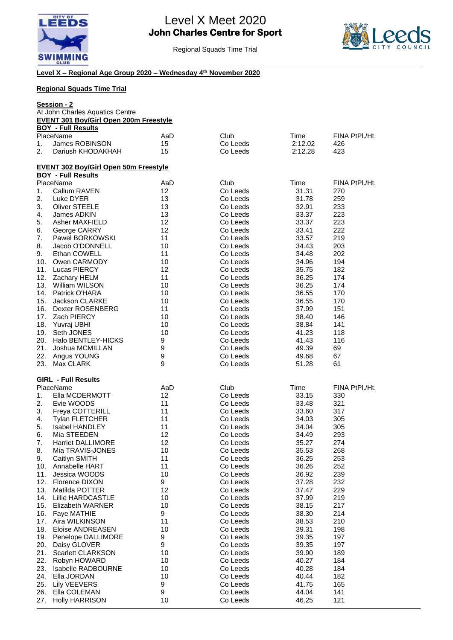



Regional Squads Time Trial

## **Level X – Regional Age Group 2020 – Wednesday 4th November 2020**

| <b>Regional Squads Time Trial</b><br>Session - 2<br>At John Charles Aquatics Centre<br><b>EVENT 301 Boy/Girl Open 200m Freestyle</b> |                                              |          |                      |                |                |    |                           |     |          |         |                |
|--------------------------------------------------------------------------------------------------------------------------------------|----------------------------------------------|----------|----------------------|----------------|----------------|----|---------------------------|-----|----------|---------|----------------|
|                                                                                                                                      |                                              |          |                      |                |                |    | <b>BOY - Full Results</b> |     |          |         |                |
|                                                                                                                                      |                                              |          |                      |                |                |    | PlaceName                 | AaD | Club     | Time    | FINA PtPI./Ht. |
|                                                                                                                                      |                                              |          |                      |                |                | 1. | James ROBINSON            | 15  | Co Leeds | 2:12.02 | 426            |
| 2.                                                                                                                                   | Dariush KHODAKHAH                            | 15       | Co Leeds             | 2:12.28        | 423            |    |                           |     |          |         |                |
|                                                                                                                                      | <b>EVENT 302 Boy/Girl Open 50m Freestyle</b> |          |                      |                |                |    |                           |     |          |         |                |
|                                                                                                                                      | <b>BOY - Full Results</b>                    |          |                      |                |                |    |                           |     |          |         |                |
|                                                                                                                                      | PlaceName                                    | AaD      | Club                 | Time           | FINA PtPI./Ht. |    |                           |     |          |         |                |
| 1.                                                                                                                                   | Callum RAVEN                                 | 12       | Co Leeds             | 31.31          | 270            |    |                           |     |          |         |                |
| 2.                                                                                                                                   | Luke DYER                                    | 13       | Co Leeds             | 31.78          | 259            |    |                           |     |          |         |                |
| 3.                                                                                                                                   | <b>Oliver STEELE</b>                         | 13       | Co Leeds             | 32.91          | 233            |    |                           |     |          |         |                |
| 4.                                                                                                                                   | James ADKIN                                  | 13       | Co Leeds             | 33.37          | 223            |    |                           |     |          |         |                |
| 5.                                                                                                                                   | Asher MAXFIELD                               | 12       | Co Leeds             | 33.37          | 223            |    |                           |     |          |         |                |
| 6.                                                                                                                                   | George CARRY                                 | 12       | Co Leeds             | 33.41          | 222            |    |                           |     |          |         |                |
| 7.                                                                                                                                   | Pawel BORKOWSKI                              | 11       | Co Leeds             | 33.57          | 219            |    |                           |     |          |         |                |
| 8.<br>9.                                                                                                                             | Jacob O'DONNELL<br>Ethan COWELL              | 10<br>11 | Co Leeds<br>Co Leeds | 34.43          | 203<br>202     |    |                           |     |          |         |                |
| 10.                                                                                                                                  | Owen CARMODY                                 | 10       | Co Leeds             | 34.48<br>34.96 | 194            |    |                           |     |          |         |                |
| 11.                                                                                                                                  | Lucas PIERCY                                 | 12       | Co Leeds             | 35.75          | 182            |    |                           |     |          |         |                |
| 12.                                                                                                                                  | Zachary HELM                                 | 11       | Co Leeds             | 36.25          | 174            |    |                           |     |          |         |                |
| 13.                                                                                                                                  | <b>William WILSON</b>                        | 10       | Co Leeds             | 36.25          | 174            |    |                           |     |          |         |                |
| 14.                                                                                                                                  | Patrick O'HARA                               | 10       | Co Leeds             | 36.55          | 170            |    |                           |     |          |         |                |
| 15.                                                                                                                                  | <b>Jackson CLARKE</b>                        | 10       | Co Leeds             | 36.55          | 170            |    |                           |     |          |         |                |
| 16.                                                                                                                                  | Dexter ROSENBERG                             | 11       | Co Leeds             | 37.99          | 151            |    |                           |     |          |         |                |
| 17.                                                                                                                                  | Zach PIERCY                                  | 10       | Co Leeds             | 38.40          | 146            |    |                           |     |          |         |                |
| 18.                                                                                                                                  | Yuvraj UBHI                                  | 10       | Co Leeds             | 38.84          | 141            |    |                           |     |          |         |                |
| 19.                                                                                                                                  | Seth JONES                                   | 10       | Co Leeds             | 41.23          | 118            |    |                           |     |          |         |                |
| 20.                                                                                                                                  | Halo BENTLEY-HICKS                           | 9        | Co Leeds             | 41.43          | 116            |    |                           |     |          |         |                |
| 21.                                                                                                                                  | Joshua MCMILLAN                              | 9        | Co Leeds             | 49.39          | 69             |    |                           |     |          |         |                |
| 22.                                                                                                                                  | Angus YOUNG                                  | 9        | Co Leeds             | 49.68          | 67             |    |                           |     |          |         |                |
| 23.                                                                                                                                  | Max CLARK                                    | 9        | Co Leeds             | 51.28          | 61             |    |                           |     |          |         |                |
|                                                                                                                                      | <b>GIRL - Full Results</b>                   |          |                      |                |                |    |                           |     |          |         |                |
|                                                                                                                                      | PlaceName                                    | AaD      | Club                 | Time           | FINA PtPI./Ht. |    |                           |     |          |         |                |
| 1.                                                                                                                                   | Ella MCDERMOTT                               | 12       | Co Leeds             | 33.15          | 330            |    |                           |     |          |         |                |
| 2.                                                                                                                                   | Evie WOODS                                   | 11       | Co Leeds             | 33.48          | 321            |    |                           |     |          |         |                |
| 3.                                                                                                                                   | Freya COTTERILL                              | 11       | Co Leeds             | 33.60          | 317            |    |                           |     |          |         |                |
| 4.                                                                                                                                   | <b>Tylan FLETCHER</b>                        | 11       | Co Leeds             | 34.03          | 305            |    |                           |     |          |         |                |
| 5.                                                                                                                                   | Isabel HANDLEY                               | 11       | Co Leeds             | 34.04          | 305            |    |                           |     |          |         |                |
| 6.                                                                                                                                   | Mia STEEDEN                                  | 12       | Co Leeds             | 34.49          | 293            |    |                           |     |          |         |                |
| 7.                                                                                                                                   | <b>Harriet DALLIMORE</b>                     | 12       | Co Leeds<br>Co Leeds | 35.27          | 274            |    |                           |     |          |         |                |
| 8.<br>9.                                                                                                                             | Mia TRAVIS-JONES<br>Caitlyn SMITH            | 10<br>11 | Co Leeds             | 35.53<br>36.25 | 268<br>253     |    |                           |     |          |         |                |
| 10.                                                                                                                                  | Annabelle HART                               | 11       | Co Leeds             | 36.26          | 252            |    |                           |     |          |         |                |
| 11.                                                                                                                                  | Jessica WOODS                                | 10       | Co Leeds             | 36.92          | 239            |    |                           |     |          |         |                |
| 12.                                                                                                                                  | Florence DIXON                               | 9        | Co Leeds             | 37.28          | 232            |    |                           |     |          |         |                |
| 13.                                                                                                                                  | Matilda POTTER                               | 12       | Co Leeds             | 37.47          | 229            |    |                           |     |          |         |                |
| 14.                                                                                                                                  | <b>Lillie HARDCASTLE</b>                     | 10       | Co Leeds             | 37.99          | 219            |    |                           |     |          |         |                |
| 15.                                                                                                                                  | Elizabeth WARNER                             | 10       | Co Leeds             | 38.15          | 217            |    |                           |     |          |         |                |
| 16.                                                                                                                                  | Faye MATHIE                                  | 9        | Co Leeds             | 38.30          | 214            |    |                           |     |          |         |                |
| 17.                                                                                                                                  | Aira WILKINSON                               | 11       | Co Leeds             | 38.53          | 210            |    |                           |     |          |         |                |
| 18.                                                                                                                                  | Eloise ANDREASEN                             | 10       | Co Leeds             | 39.31          | 198            |    |                           |     |          |         |                |
| 19.                                                                                                                                  | Penelope DALLIMORE                           | 9        | Co Leeds             | 39.35          | 197            |    |                           |     |          |         |                |
| 20.                                                                                                                                  | Daisy GLOVER                                 | 9        | Co Leeds             | 39.35          | 197            |    |                           |     |          |         |                |
| 21.                                                                                                                                  | Scarlett CLARKSON                            | 10       | Co Leeds             | 39.90          | 189            |    |                           |     |          |         |                |
| 22.                                                                                                                                  | Robyn HOWARD                                 | 10       | Co Leeds             | 40.27          | 184            |    |                           |     |          |         |                |
| 23.<br>24.                                                                                                                           | <b>Isabelle RADBOURNE</b>                    | 10       | Co Leeds             | 40.28          | 184            |    |                           |     |          |         |                |
| 25.                                                                                                                                  | Ella JORDAN<br>Lily VEEVERS                  | 10<br>9  | Co Leeds<br>Co Leeds | 40.44<br>41.75 | 182<br>165     |    |                           |     |          |         |                |
| 26.                                                                                                                                  | Ella COLEMAN                                 | 9        | Co Leeds             | 44.04          | 141            |    |                           |     |          |         |                |
| 27.                                                                                                                                  | <b>Holly HARRISON</b>                        | 10       | Co Leeds             | 46.25          | 121            |    |                           |     |          |         |                |
|                                                                                                                                      |                                              |          |                      |                |                |    |                           |     |          |         |                |